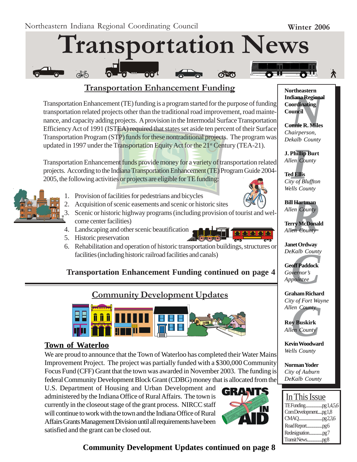# **Transportation News**

## **Transportation Enhancement Funding**

Transportation Enhancement (TE) funding is a program started for the purpose of funding transportation related projects other than the traditional road improvement, road maintenance, and capacity adding projects. A provision in the Intermodal Surface Transportation Efficiency Act of 1991 (ISTEA) required that states set aside ten percent of their Surface Transportation Program (STP) funds for these nontraditional projects. The program was updated in 1997 under the Transportation Equity Act for the 21<sup>st</sup> Century (TEA-21).

Transportation Enhancement funds provide money for a variety of transportation related projects. According to the Indiana Transportation Enhancement (TE) Program Guide 2004- 2005, the following activities or projects are eligible for TE funding:



- 1. Provision of facilities for pedestrians and bicycles
- 2. Acquisition of scenic easements and scenic or historic sites
- 3. Scenic or historic highway programs (including provision of tourist and welcome center facilities)
- 4. Landscaping and other scenic beautification
- 5. Historic preservation



6. Rehabilitation and operation of historic transportation buildings, structures or facilities (including historic railroad facilities and canals)

## **Transportation Enhancement Funding continued on page 4**

## **Community Development Updates**



#### **Town of Waterloo**

We are proud to announce that the Town of Waterloo has completed their Water Mains Improvement Project. The project was partially funded with a \$300,000 Community Focus Fund (CFF) Grant that the town was awarded in November 2003. The funding is federal Community Development Block Grant (CDBG) money that is allocated from the

U.S. Department of Housing and Urban Development and administered by the Indiana Office of Rural Affairs. The town is currently in the closeout stage of the grant process. NIRCC staff will continue to work with the town and the Indiana Office of Rural Affairs Grants Management Division until all requirements have been satisfied and the grant can be closed out.



*N*<br>**Iliana Regiona<br>ordinating<br>uncil<br><b>nnie R. Miles**<br>airperson, **Northeastern Indiana Regional Coordinating Council**

**Connie R. Miles** *Chairperson, Dekalb County*

**J. Phillip Burt** *Allen County*

**Phillip**<br>*I*<br>**I**<br>**III**<br>*III*<br>*III*<br>*III*<br>*II* **Ted Ellis** *City of Bluffton Wells County*

**Bill Hartman** *Allen County*

**Rartman**<br>*Real County*<br>Pry McDonal<br>*Real County* **Terry McDonald** *Allen County*

**Janet Ordway** *DeKalb County*

*Kalb County*<br>**off Paddock**<br>vernor's<br>pointee **Geoff Paddock** *Governor's Appointee*

**Graham Richard** *City of Fort Wayne*

*Cuy of Port wa<br>Allen County*<br>**Roy Buskirk**<br>*Allen County*<br>**Kevin Woodwar Roy Buskirk** *Allen County*

**Kevin Woodward** *Wells County*

**Norman Yoder** *City of Auburn DeKalb County*

## In This Issue

| ComDevelopmentpg1,8 |
|---------------------|
|                     |
|                     |
|                     |
|                     |

**Community Development Updates continued on page 8**

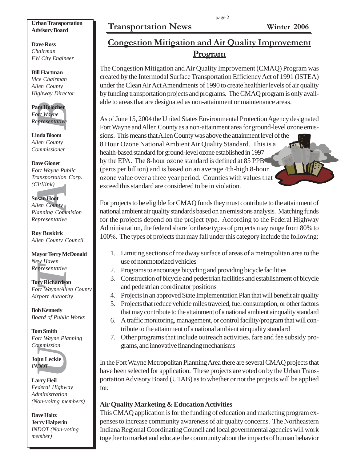#### page 2

## **Transportation News Winter 2006**

#### **Urban Transportation Advisory Board**

**Dave Ross** *Chairman FW City Engineer*

**Bill Hartman** *Vice Chairman Allen County Highway Director*

**Pam Holocher** *Fort Wayne Representative*

**Linda Bloom** *Allen County Commissioner*

**An Holocher**<br>*Prt Wayne*<br>*Presentative*<br>**India Bloom**<br>*Ien County*<br>*Dem County*<br>*Dem County*<br>*Mayne Pu ansportation*<br>*Litilink*)<br>**Isan Hoot**<br>*Len County*<br>*Zen County*<br>*Presentative*<br>**Dy Buskirk**<br>*Len County* Cayor Terry M **Dave Gionet** *Fort Wayne Public Transportation Corp. (Citilink)*

#### **Susan Hoot**

*Allen County Planning Commision Representative*

**Roy Buskirk** *Allen County Council*

**Mayor Terry McDonald** *New Haven Representative*

**Tory Richardson** *Fort Wayne/Allen County*

*Airport Authority*

**Bob Kennedy** *Board of Public Works*

**Tom Smith** *Fort Wayne Planning Commission*



**Larry Heil** *Federal Highway Administration (Non-voitng members)*

**Dave Holtz Jerry Halperin** *INDOT (Non-voting member)*

# **Congestion Mitigation and Air Quality Improvement Program**

The Congestion Mitigation and Air Quality Improvement (CMAQ) Program was created by the Intermodal Surface Transportation Efficiency Act of 1991 (ISTEA) under the Clean Air Act Amendments of 1990 to create healthier levels of air quality by funding transportation projects and programs. The CMAQ program is only available to areas that are designated as non-attainment or maintenance areas.

As of June 15, 2004 the United States Environmental Protection Agency designated Fort Wayne and Allen County as a non-attainment area for ground-level ozone emissions. This means that Allen County was above the attainment level of the 8 Hour Ozone National Ambient Air Quality Standard. This is a health-based standard for ground-level ozone established in 1997 by the EPA. The 8-hour ozone standard is defined at 85 PPB (parts per billion) and is based on an average 4th-high 8-hour ozone value over a three year period. Counties with values that exceed this standard are considered to be in violation.

For projects to be eligible for CMAQ funds they must contribute to the attainment of national ambient air quality standards based on an emissions analysis. Matching funds for the projects depend on the project type. According to the Federal Highway Administration, the federal share for these types of projects may range from 80% to 100%. The types of projects that may fall under this category include the following:

- 1. Limiting sections of roadway surface of areas of a metropolitan area to the use of nonmotorized vehicles
- 2. Programs to encourage bicycling and providing bicycle facilities
- 3. Construction of bicycle and pedestrian facilities and establishment of bicycle and pedestrian coordinator positions
- 4. Projects in an approved State Implementation Plan that will benefit air quality
- 5. Projects that reduce vehicle miles traveled, fuel consumption, or other factors that may contribute to the attainment of a national ambient air quality standard
- 6. A traffic monitoring, management, or control facility/program that will contribute to the attainment of a national ambient air quality standard
- 7. Other programs that include outreach activities, fare and fee subsidy programs, and innovative financing mechanisms

In the Fort Wayne Metropolitan Planning Area there are several CMAQ projects that have been selected for application. These projects are voted on by the Urban Transportation Advisory Board (UTAB) as to whether or not the projects will be applied for.

#### **Air Quality Marketing & Education Activities**

This CMAQ application is for the funding of education and marketing program expenses to increase community awareness of air quality concerns. The Northeastern Indiana Regional Coordinating Council and local governmental agencies will work together to market and educate the community about the impacts of human behavior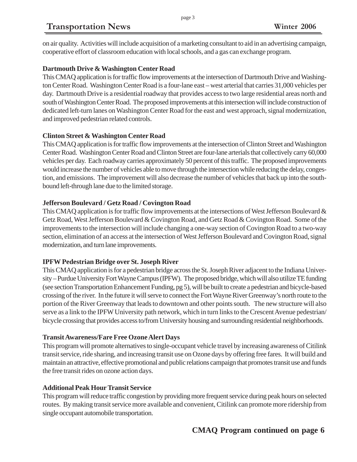# **Transportation News Winter 2006**

on air quality. Activities will include acquisition of a marketing consultant to aid in an advertising campaign, cooperative effort of classroom education with local schools, and a gas can exchange program.

#### **Dartmouth Drive & Washington Center Road**

This CMAQ application is for traffic flow improvements at the intersection of Dartmouth Drive and Washington Center Road. Washington Center Road is a four-lane east – west arterial that carries 31,000 vehicles per day. Dartmouth Drive is a residential roadway that provides access to two large residential areas north and south of Washington Center Road. The proposed improvements at this intersection will include construction of dedicated left-turn lanes on Washington Center Road for the east and west approach, signal modernization, and improved pedestrian related controls.

#### **Clinton Street & Washington Center Road**

This CMAQ application is for traffic flow improvements at the intersection of Clinton Street and Washington Center Road. Washington Center Road and Clinton Street are four-lane arterials that collectively carry 60,000 vehicles per day. Each roadway carries approximately 50 percent of this traffic. The proposed improvements would increase the number of vehicles able to move through the intersection while reducing the delay, congestion, and emissions. The improvement will also decrease the number of vehicles that back up into the southbound left-through lane due to the limited storage.

#### **Jefferson Boulevard / Getz Road / Covington Road**

This CMAQ application is for traffic flow improvements at the intersections of West Jefferson Boulevard  $\&$ Getz Road, West Jefferson Boulevard & Covington Road, and Getz Road & Covington Road. Some of the improvements to the intersection will include changing a one-way section of Covington Road to a two-way section, elimination of an access at the intersection of West Jefferson Boulevard and Covington Road, signal modernization, and turn lane improvements.

#### **IPFW Pedestrian Bridge over St. Joseph River**

This CMAQ application is for a pedestrian bridge across the St. Joseph River adjacent to the Indiana University – Purdue University Fort Wayne Campus (IPFW). The proposed bridge, which will also utilize TE funding (see section Transportation Enhancement Funding, pg 5), will be built to create a pedestrian and bicycle-based crossing of the river. In the future it will serve to connect the Fort Wayne River Greenway's north route to the portion of the River Greenway that leads to downtown and other points south. The new structure will also serve as a link to the IPFW University path network, which in turn links to the Crescent Avenue pedestrian/ bicycle crossing that provides access to/from University housing and surrounding residential neighborhoods.

#### **Transit Awareness/Fare Free Ozone Alert Days**

This program will promote alternatives to single-occupant vehicle travel by increasing awareness of Citilink transit service, ride sharing, and increasing transit use on Ozone days by offering free fares. It will build and maintain an attractive, effective promotional and public relations campaign that promotes transit use and funds the free transit rides on ozone action days.

#### **Additional Peak Hour Transit Service**

This program will reduce traffic congestion by providing more frequent service during peak hours on selected routes. By making transit service more available and convenient, Citilink can promote more ridership from single occupant automobile transportation.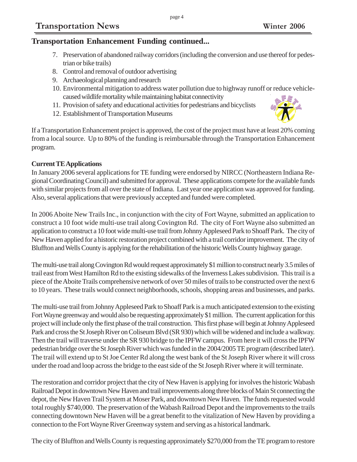### **Transportation Enhancement Funding continued...**

7. Preservation of abandoned railway corridors (including the conversion and use thereof for pedestrian or bike trails)

page 4

- 8. Control and removal of outdoor advertising
- 9. Archaeological planning and research
- 10. Environmental mitigation to address water pollution due to highway runoff or reduce vehiclecaused wildlife mortality while maintaining habitat connectivity
- 11. Provision of safety and educational activities for pedestrians and bicyclists
- 12. Establishment of Transportation Museums

If a Transportation Enhancement project is approved, the cost of the project must have at least 20% coming from a local source. Up to 80% of the funding is reimbursable through the Transportation Enhancement program.

#### **Current TE Applications**

In January 2006 several applications for TE funding were endorsed by NIRCC (Northeastern Indiana Regional Coordinating Council) and submitted for approval. These applications compete for the available funds with similar projects from all over the state of Indiana. Last year one application was approved for funding. Also, several applications that were previously accepted and funded were completed.

In 2006 Aboite New Trails Inc., in conjunction with the city of Fort Wayne, submitted an application to construct a 10 foot wide multi-use trail along Covington Rd. The city of Fort Wayne also submitted an application to construct a 10 foot wide multi-use trail from Johnny Appleseed Park to Shoaff Park. The city of New Haven applied for a historic restoration project combined with a trail corridor improvement. The city of Bluffton and Wells County is applying for the rehabilitation of the historic Wells County highway garage.

The multi-use trail along Covington Rd would request approximately \$1 million to construct nearly 3.5 miles of trail east from West Hamilton Rd to the existing sidewalks of the Inverness Lakes subdivision. This trail is a piece of the Aboite Trails comprehensive network of over 50 miles of trails to be constructed over the next 6 to 10 years. These trails would connect neighborhoods, schools, shopping areas and businesses, and parks.

The multi-use trail from Johnny Appleseed Park to Shoaff Park is a much anticipated extension to the existing Fort Wayne greenway and would also be requesting approximately \$1 million. The current application for this project will include only the first phase of the trail construction. This first phase will begin at Johnny Appleseed Park and cross the St Joseph River on Coliseum Blvd (SR 930) which will be widened and include a walkway. Then the trail will traverse under the SR 930 bridge to the IPFW campus. From here it will cross the IPFW pedestrian bridge over the St Joseph River which was funded in the 2004/2005 TE program (described later). The trail will extend up to St Joe Center Rd along the west bank of the St Joseph River where it will cross under the road and loop across the bridge to the east side of the St Joseph River where it will terminate.

The restoration and corridor project that the city of New Haven is applying for involves the historic Wabash Railroad Depot in downtown New Haven and trail improvements along three blocks of Main St connecting the depot, the New Haven Trail System at Moser Park, and downtown New Haven. The funds requested would total roughly \$740,000. The preservation of the Wabash Railroad Depot and the improvements to the trails connecting downtown New Haven will be a great benefit to the vitalization of New Haven by providing a connection to the Fort Wayne River Greenway system and serving as a historical landmark.

The city of Bluffton and Wells County is requesting approximately \$270,000 from the TE program to restore

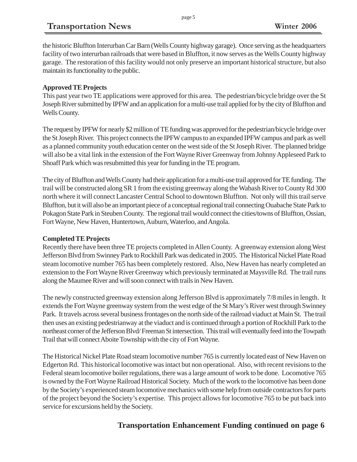the historic Bluffton Interurban Car Barn (Wells County highway garage). Once serving as the headquarters facility of two interurban railroads that were based in Bluffton, it now serves as the Wells County highway garage. The restoration of this facility would not only preserve an important historical structure, but also maintain its functionality to the public.

#### **Approved TE Projects**

This past year two TE applications were approved for this area. The pedestrian/bicycle bridge over the St Joseph River submitted by IPFW and an application for a multi-use trail applied for by the city of Bluffton and Wells County.

The request by IPFW for nearly \$2 million of TE funding was approved for the pedestrian/bicycle bridge over the St Joseph River. This project connects the IPFW campus to an expanded IPFW campus and park as well as a planned community youth education center on the west side of the St Joseph River. The planned bridge will also be a vital link in the extension of the Fort Wayne River Greenway from Johnny Appleseed Park to Shoaff Park which was resubmitted this year for funding in the TE program.

The city of Bluffton and Wells County had their application for a multi-use trail approved for TE funding. The trail will be constructed along SR 1 from the existing greenway along the Wabash River to County Rd 300 north where it will connect Lancaster Central School to downtown Bluffton. Not only will this trail serve Bluffton, but it will also be an important piece of a conceptual regional trail connecting Ouabache State Park to Pokagon State Park in Steuben County. The regional trail would connect the cities/towns of Bluffton, Ossian, Fort Wayne, New Haven, Huntertown, Auburn, Waterloo, and Angola.

#### **Completed TE Projects**

Recently there have been three TE projects completed in Allen County. A greenway extension along West Jefferson Blvd from Swinney Park to Rockhill Park was dedicated in 2005. The Historical Nickel Plate Road steam locomotive number 765 has been completely restored. Also, New Haven has nearly completed an extension to the Fort Wayne River Greenway which previously terminated at Maysville Rd. The trail runs along the Maumee River and will soon connect with trails in New Haven.

The newly constructed greenway extension along Jefferson Blvd is approximately 7/8 miles in length. It extends the Fort Wayne greenway system from the west edge of the St Mary's River west through Swinney Park. It travels across several business frontages on the north side of the railroad viaduct at Main St. The trail then uses an existing pedestrianway at the viaduct and is continued through a portion of Rockhill Park to the northeast corner of the Jefferson Blvd/ Freeman St intersection. This trail will eventually feed into the Towpath Trail that will connect Aboite Township with the city of Fort Wayne.

The Historical Nickel Plate Road steam locomotive number 765 is currently located east of New Haven on Edgerton Rd. This historical locomotive was intact but non operational. Also, with recent revisions to the Federal steam locomotive boiler regulations, there was a large amount of work to be done. Locomotive 765 is owned by the Fort Wayne Railroad Historical Society. Much of the work to the locomotive has been done by the Society's experienced steam locomotive mechanics with some help from outside contractors for parts of the project beyond the Society's expertise. This project allows for locomotive 765 to be put back into service for excursions held by the Society.

## **Transportation Enhancement Funding continued on page 6**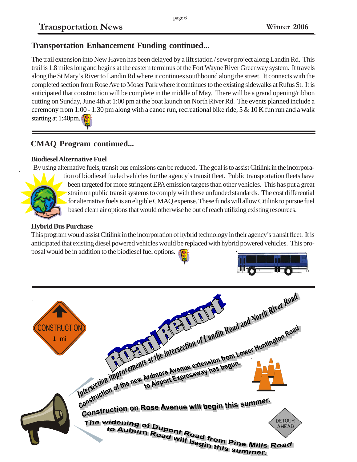## **Transportation Enhancement Funding continued...**

The trail extension into New Haven has been delayed by a lift station / sewer project along Landin Rd. This trail is 1.8 miles long and begins at the eastern terminus of the Fort Wayne River Greenway system. It travels along the St Mary's River to Landin Rd where it continues southbound along the street. It connects with the completed section from Rose Ave to Moser Park where it continues to the existing sidewalks at Rufus St. It is anticipated that construction will be complete in the middle of May. There will be a grand opening/ribbon cutting on Sunday, June 4th at 1:00 pm at the boat launch on North River Rd. The events planned include a ceremony from 1:00 - 1:30 pm along with a canoe run, recreational bike ride, 5 & 10 K fun run and a walk starting at 1:40pm.

## **CMAQ Program continued...**

#### **Biodiesel Alternative Fuel**

By using alternative fuels, transit bus emissions can be reduced. The goal is to assist Citilink in the incorpora-



tion of biodiesel fueled vehicles for the agency's transit fleet. Public transportation fleets have been targeted for more stringent EPA emission targets than other vehicles. This has put a great strain on public transit systems to comply with these unfunded standards. The cost differential for alternative fuels is an eligible CMAQ expense. These funds will allow Citilink to pursue fuel based clean air options that would otherwise be out of reach utilizing existing resources.

#### **Hybrid Bus Purchase**

This program would assist Citilink in the incorporation of hybrid technology in their agency's transit fleet. It is anticipated that existing diesel powered vehicles would be replaced with hybrid powered vehicles. This proposal would be in addition to the biodiesel fuel options.

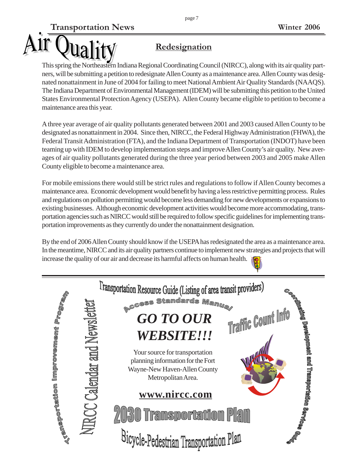# **Redesignation**

ual

This spring the Northeastern Indiana Regional Coordinating Council (NIRCC), along with its air quality partners, will be submitting a petition to redesignate Allen County as a maintenance area. Allen County was designated nonattainment in June of 2004 for failing to meet National Ambient Air Quality Standards (NAAQS). The Indiana Department of Environmental Management (IDEM) will be submitting this petition to the United States Environmental Protection Agency (USEPA). Allen County became eligible to petition to become a maintenance area this year.

A three year average of air quality pollutants generated between 2001 and 2003 caused Allen County to be designated as nonattainment in 2004. Since then, NIRCC, the Federal Highway Administration (FHWA), the Federal Transit Administration (FTA), and the Indiana Department of Transportation (INDOT) have been teaming up with IDEM to develop implementation steps and improve Allen County's air quality. New averages of air quality pollutants generated during the three year period between 2003 and 2005 make Allen County eligible to become a maintenance area.

For mobile emissions there would still be strict rules and regulations to follow if Allen County becomes a maintenance area. Economic development would benefit by having a less restrictive permitting process. Rules and regulations on pollution permitting would become less demanding for new developments or expansions to existing businesses. Although economic development activities would become more accommodating, transportation agencies such as NIRCC would still be required to follow specific guidelines for implementing transportation improvements as they currently do under the nonattainment designation.

By the end of 2006 Allen County should know if the USEPA has redesignated the area as a maintenance area. In the meantime, NIRCC and its air quality partners continue to implement new strategies and projects that will increase the quality of our air and decrease its harmful affects on human health.